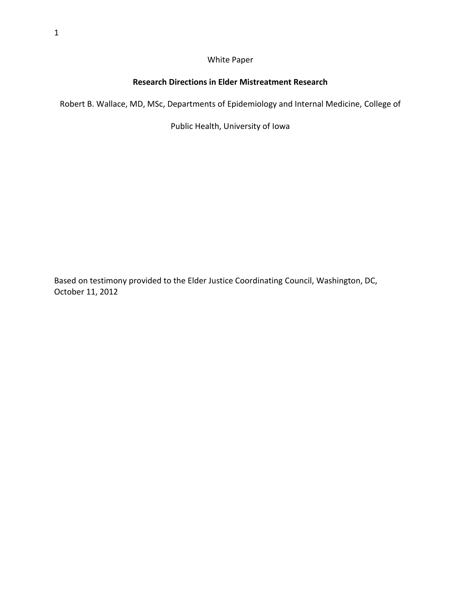#### White Paper

### **Research Directions in Elder Mistreatment Research**

Robert B. Wallace, MD, MSc, Departments of Epidemiology and Internal Medicine, College of

Public Health, University of Iowa

Based on testimony provided to the Elder Justice Coordinating Council, Washington, DC, October 11, 2012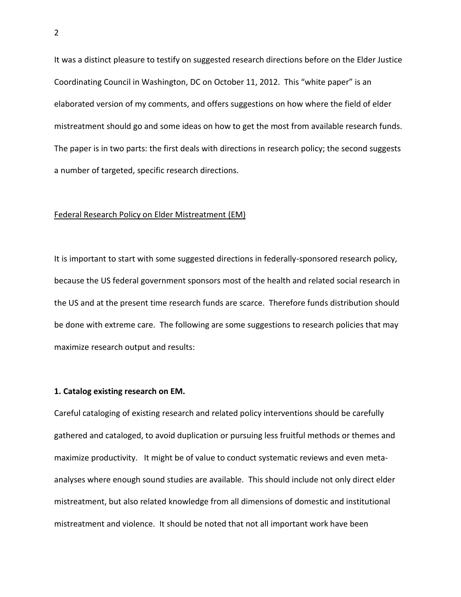It was a distinct pleasure to testify on suggested research directions before on the Elder Justice Coordinating Council in Washington, DC on October 11, 2012. This "white paper" is an elaborated version of my comments, and offers suggestions on how where the field of elder mistreatment should go and some ideas on how to get the most from available research funds. The paper is in two parts: the first deals with directions in research policy; the second suggests a number of targeted, specific research directions.

#### Federal Research Policy on Elder Mistreatment (EM)

It is important to start with some suggested directions in federally-sponsored research policy, because the US federal government sponsors most of the health and related social research in the US and at the present time research funds are scarce. Therefore funds distribution should be done with extreme care. The following are some suggestions to research policies that may maximize research output and results:

#### **1. Catalog existing research on EM.**

Careful cataloging of existing research and related policy interventions should be carefully gathered and cataloged, to avoid duplication or pursuing less fruitful methods or themes and maximize productivity. It might be of value to conduct systematic reviews and even metaanalyses where enough sound studies are available. This should include not only direct elder mistreatment, but also related knowledge from all dimensions of domestic and institutional mistreatment and violence. It should be noted that not all important work have been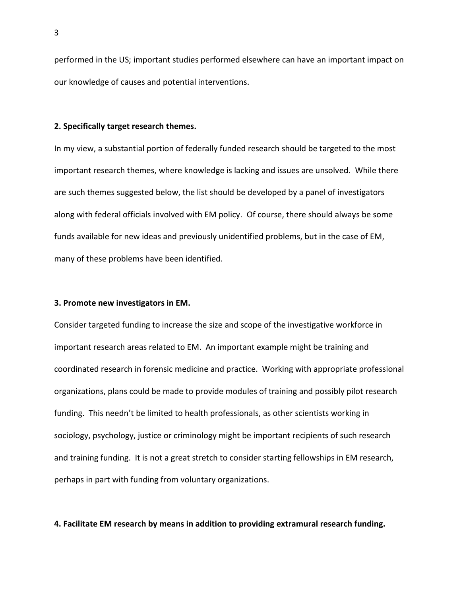performed in the US; important studies performed elsewhere can have an important impact on our knowledge of causes and potential interventions.

#### **2. Specifically target research themes.**

In my view, a substantial portion of federally funded research should be targeted to the most important research themes, where knowledge is lacking and issues are unsolved. While there are such themes suggested below, the list should be developed by a panel of investigators along with federal officials involved with EM policy. Of course, there should always be some funds available for new ideas and previously unidentified problems, but in the case of EM, many of these problems have been identified.

#### **3. Promote new investigators in EM.**

Consider targeted funding to increase the size and scope of the investigative workforce in important research areas related to EM. An important example might be training and coordinated research in forensic medicine and practice. Working with appropriate professional organizations, plans could be made to provide modules of training and possibly pilot research funding. This needn't be limited to health professionals, as other scientists working in sociology, psychology, justice or criminology might be important recipients of such research and training funding. It is not a great stretch to consider starting fellowships in EM research, perhaps in part with funding from voluntary organizations.

#### **4. Facilitate EM research by means in addition to providing extramural research funding.**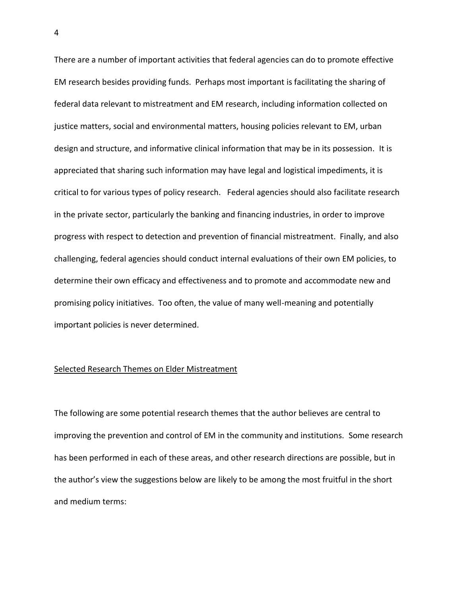There are a number of important activities that federal agencies can do to promote effective EM research besides providing funds. Perhaps most important is facilitating the sharing of federal data relevant to mistreatment and EM research, including information collected on justice matters, social and environmental matters, housing policies relevant to EM, urban design and structure, and informative clinical information that may be in its possession. It is appreciated that sharing such information may have legal and logistical impediments, it is critical to for various types of policy research. Federal agencies should also facilitate research in the private sector, particularly the banking and financing industries, in order to improve progress with respect to detection and prevention of financial mistreatment. Finally, and also challenging, federal agencies should conduct internal evaluations of their own EM policies, to determine their own efficacy and effectiveness and to promote and accommodate new and promising policy initiatives. Too often, the value of many well-meaning and potentially important policies is never determined.

#### Selected Research Themes on Elder Mistreatment

The following are some potential research themes that the author believes are central to improving the prevention and control of EM in the community and institutions. Some research has been performed in each of these areas, and other research directions are possible, but in the author's view the suggestions below are likely to be among the most fruitful in the short and medium terms: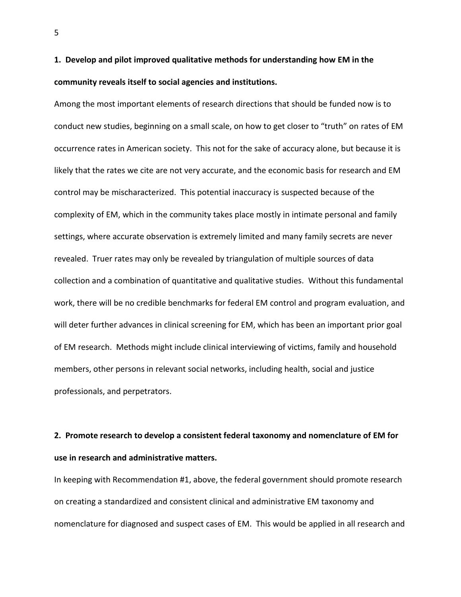## **1. Develop and pilot improved qualitative methods for understanding how EM in the community reveals itself to social agencies and institutions.**

Among the most important elements of research directions that should be funded now is to conduct new studies, beginning on a small scale, on how to get closer to "truth" on rates of EM occurrence rates in American society. This not for the sake of accuracy alone, but because it is likely that the rates we cite are not very accurate, and the economic basis for research and EM control may be mischaracterized. This potential inaccuracy is suspected because of the complexity of EM, which in the community takes place mostly in intimate personal and family settings, where accurate observation is extremely limited and many family secrets are never revealed. Truer rates may only be revealed by triangulation of multiple sources of data collection and a combination of quantitative and qualitative studies. Without this fundamental work, there will be no credible benchmarks for federal EM control and program evaluation, and will deter further advances in clinical screening for EM, which has been an important prior goal of EM research. Methods might include clinical interviewing of victims, family and household members, other persons in relevant social networks, including health, social and justice professionals, and perpetrators.

## **2. Promote research to develop a consistent federal taxonomy and nomenclature of EM for use in research and administrative matters.**

In keeping with Recommendation #1, above, the federal government should promote research on creating a standardized and consistent clinical and administrative EM taxonomy and nomenclature for diagnosed and suspect cases of EM. This would be applied in all research and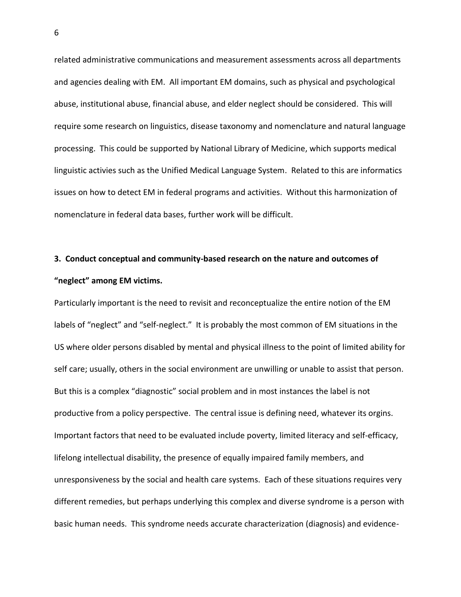related administrative communications and measurement assessments across all departments and agencies dealing with EM. All important EM domains, such as physical and psychological abuse, institutional abuse, financial abuse, and elder neglect should be considered. This will require some research on linguistics, disease taxonomy and nomenclature and natural language processing. This could be supported by National Library of Medicine, which supports medical linguistic activies such as the Unified Medical Language System. Related to this are informatics issues on how to detect EM in federal programs and activities. Without this harmonization of nomenclature in federal data bases, further work will be difficult.

# **3. Conduct conceptual and community-based research on the nature and outcomes of "neglect" among EM victims.**

Particularly important is the need to revisit and reconceptualize the entire notion of the EM labels of "neglect" and "self-neglect." It is probably the most common of EM situations in the US where older persons disabled by mental and physical illness to the point of limited ability for self care; usually, others in the social environment are unwilling or unable to assist that person. But this is a complex "diagnostic" social problem and in most instances the label is not productive from a policy perspective. The central issue is defining need, whatever its orgins. Important factors that need to be evaluated include poverty, limited literacy and self-efficacy, lifelong intellectual disability, the presence of equally impaired family members, and unresponsiveness by the social and health care systems. Each of these situations requires very different remedies, but perhaps underlying this complex and diverse syndrome is a person with basic human needs. This syndrome needs accurate characterization (diagnosis) and evidence-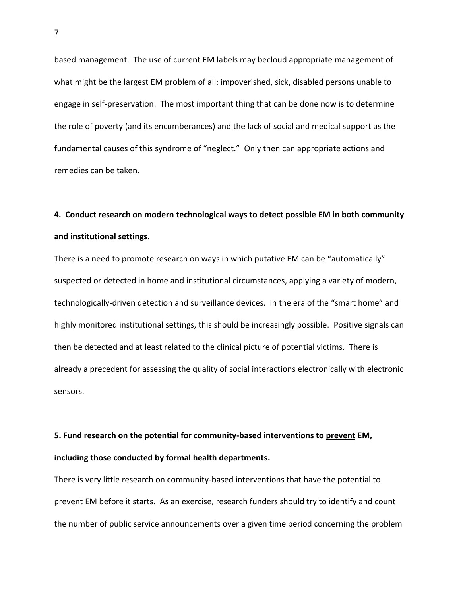based management. The use of current EM labels may becloud appropriate management of what might be the largest EM problem of all: impoverished, sick, disabled persons unable to engage in self-preservation. The most important thing that can be done now is to determine the role of poverty (and its encumberances) and the lack of social and medical support as the fundamental causes of this syndrome of "neglect." Only then can appropriate actions and remedies can be taken.

### **4. Conduct research on modern technological ways to detect possible EM in both community and institutional settings.**

There is a need to promote research on ways in which putative EM can be "automatically" suspected or detected in home and institutional circumstances, applying a variety of modern, technologically-driven detection and surveillance devices. In the era of the "smart home" and highly monitored institutional settings, this should be increasingly possible. Positive signals can then be detected and at least related to the clinical picture of potential victims. There is already a precedent for assessing the quality of social interactions electronically with electronic sensors.

# **5. Fund research on the potential for community-based interventions to prevent EM, including those conducted by formal health departments.**

There is very little research on community-based interventions that have the potential to prevent EM before it starts. As an exercise, research funders should try to identify and count the number of public service announcements over a given time period concerning the problem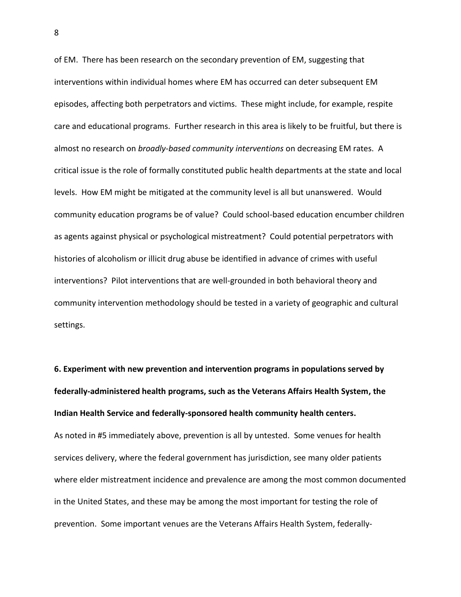of EM. There has been research on the secondary prevention of EM, suggesting that interventions within individual homes where EM has occurred can deter subsequent EM episodes, affecting both perpetrators and victims. These might include, for example, respite care and educational programs. Further research in this area is likely to be fruitful, but there is almost no research on *broadly-based community interventions* on decreasing EM rates. A critical issue is the role of formally constituted public health departments at the state and local levels. How EM might be mitigated at the community level is all but unanswered. Would community education programs be of value? Could school-based education encumber children as agents against physical or psychological mistreatment? Could potential perpetrators with histories of alcoholism or illicit drug abuse be identified in advance of crimes with useful interventions? Pilot interventions that are well-grounded in both behavioral theory and community intervention methodology should be tested in a variety of geographic and cultural settings.

**6. Experiment with new prevention and intervention programs in populations served by federally-administered health programs, such as the Veterans Affairs Health System, the Indian Health Service and federally-sponsored health community health centers.**  As noted in #5 immediately above, prevention is all by untested. Some venues for health services delivery, where the federal government has jurisdiction, see many older patients where elder mistreatment incidence and prevalence are among the most common documented in the United States, and these may be among the most important for testing the role of prevention. Some important venues are the Veterans Affairs Health System, federally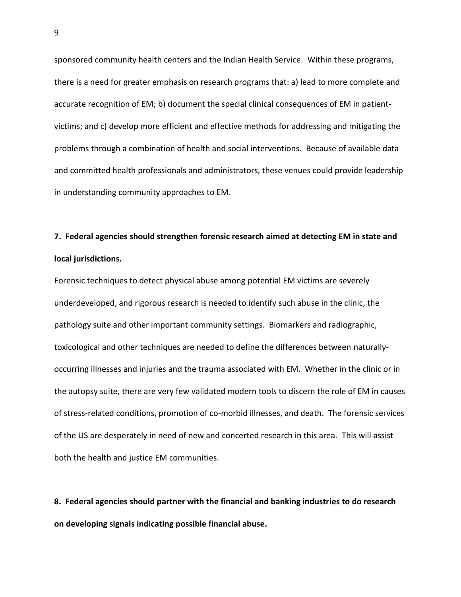sponsored community health centers and the Indian Health Service. Within these programs, there is a need for greater emphasis on research programs that: a) lead to more complete and accurate recognition of EM; b) document the special clinical consequences of EM in patientvictims; and c) develop more efficient and effective methods for addressing and mitigating the problems through a combination of health and social interventions. Because of available data and committed health professionals and administrators, these venues could provide leadership in understanding community approaches to EM.

## **7. Federal agencies should strengthen forensic research aimed at detecting EM in state and local jurisdictions.**

Forensic techniques to detect physical abuse among potential EM victims are severely underdeveloped, and rigorous research is needed to identify such abuse in the clinic, the pathology suite and other important community settings. Biomarkers and radiographic, toxicological and other techniques are needed to define the differences between naturallyoccurring illnesses and injuries and the trauma associated with EM. Whether in the clinic or in the autopsy suite, there are very few validated modern tools to discern the role of EM in causes of stress-related conditions, promotion of co-morbid illnesses, and death. The forensic services of the US are desperately in need of new and concerted research in this area. This will assist both the health and justice EM communities.

**8. Federal agencies should partner with the financial and banking industries to do research on developing signals indicating possible financial abuse.**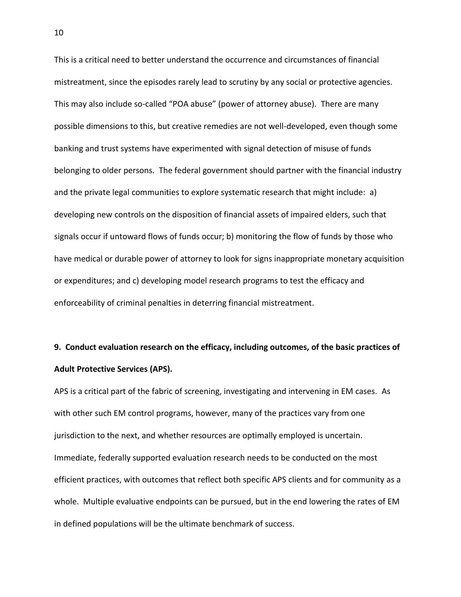This is a critical need to better understand the occurrence and circumstances of financial mistreatment, since the episodes rarely lead to scrutiny by any social or protective agencies. This may also include so-called "POA abuse" (power of attorney abuse). There are many possible dimensions to this, but creative remedies are not well-developed, even though some banking and trust systems have experimented with signal detection of misuse of funds belonging to older persons. The federal government should partner with the financial industry and the private legal communities to explore systematic research that might include: a) developing new controls on the disposition of financial assets of impaired elders, such that signals occur if untoward flows of funds occur; b) monitoring the flow of funds by those who have medical or durable power of attorney to look for signs inappropriate monetary acquisition or expenditures; and c) developing model research programs to test the efficacy and enforceability of criminal penalties in deterring financial mistreatment.

# **9. Conduct evaluation research on the efficacy, including outcomes, of the basic practices of Adult Protective Services (APS).**

APS is a critical part of the fabric of screening, investigating and intervening in EM cases. As with other such EM control programs, however, many of the practices vary from one jurisdiction to the next, and whether resources are optimally employed is uncertain. Immediate, federally supported evaluation research needs to be conducted on the most efficient practices, with outcomes that reflect both specific APS clients and for community as a whole. Multiple evaluative endpoints can be pursued, but in the end lowering the rates of EM in defined populations will be the ultimate benchmark of success.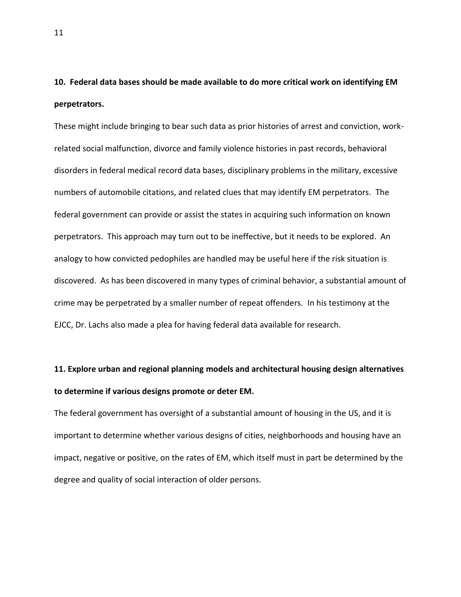## **10. Federal data bases should be made available to do more critical work on identifying EM perpetrators.**

These might include bringing to bear such data as prior histories of arrest and conviction, workrelated social malfunction, divorce and family violence histories in past records, behavioral disorders in federal medical record data bases, disciplinary problems in the military, excessive numbers of automobile citations, and related clues that may identify EM perpetrators. The federal government can provide or assist the states in acquiring such information on known perpetrators. This approach may turn out to be ineffective, but it needs to be explored. An analogy to how convicted pedophiles are handled may be useful here if the risk situation is discovered. As has been discovered in many types of criminal behavior, a substantial amount of crime may be perpetrated by a smaller number of repeat offenders. In his testimony at the EJCC, Dr. Lachs also made a plea for having federal data available for research.

# **11. Explore urban and regional planning models and architectural housing design alternatives to determine if various designs promote or deter EM.**

The federal government has oversight of a substantial amount of housing in the US, and it is important to determine whether various designs of cities, neighborhoods and housing have an impact, negative or positive, on the rates of EM, which itself must in part be determined by the degree and quality of social interaction of older persons.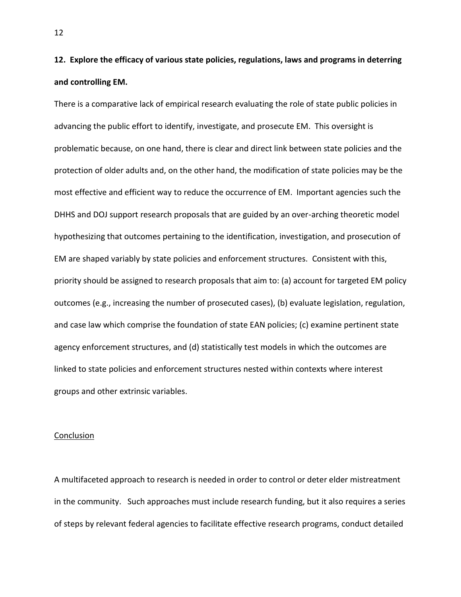**12. Explore the efficacy of various state policies, regulations, laws and programs in deterring and controlling EM.** 

There is a comparative lack of empirical research evaluating the role of state public policies in advancing the public effort to identify, investigate, and prosecute EM. This oversight is problematic because, on one hand, there is clear and direct link between state policies and the protection of older adults and, on the other hand, the modification of state policies may be the most effective and efficient way to reduce the occurrence of EM. Important agencies such the DHHS and DOJ support research proposals that are guided by an over-arching theoretic model hypothesizing that outcomes pertaining to the identification, investigation, and prosecution of EM are shaped variably by state policies and enforcement structures. Consistent with this, priority should be assigned to research proposals that aim to: (a) account for targeted EM policy outcomes (e.g., increasing the number of prosecuted cases), (b) evaluate legislation, regulation, and case law which comprise the foundation of state EAN policies; (c) examine pertinent state agency enforcement structures, and (d) statistically test models in which the outcomes are linked to state policies and enforcement structures nested within contexts where interest groups and other extrinsic variables.

#### Conclusion

A multifaceted approach to research is needed in order to control or deter elder mistreatment in the community. Such approaches must include research funding, but it also requires a series of steps by relevant federal agencies to facilitate effective research programs, conduct detailed